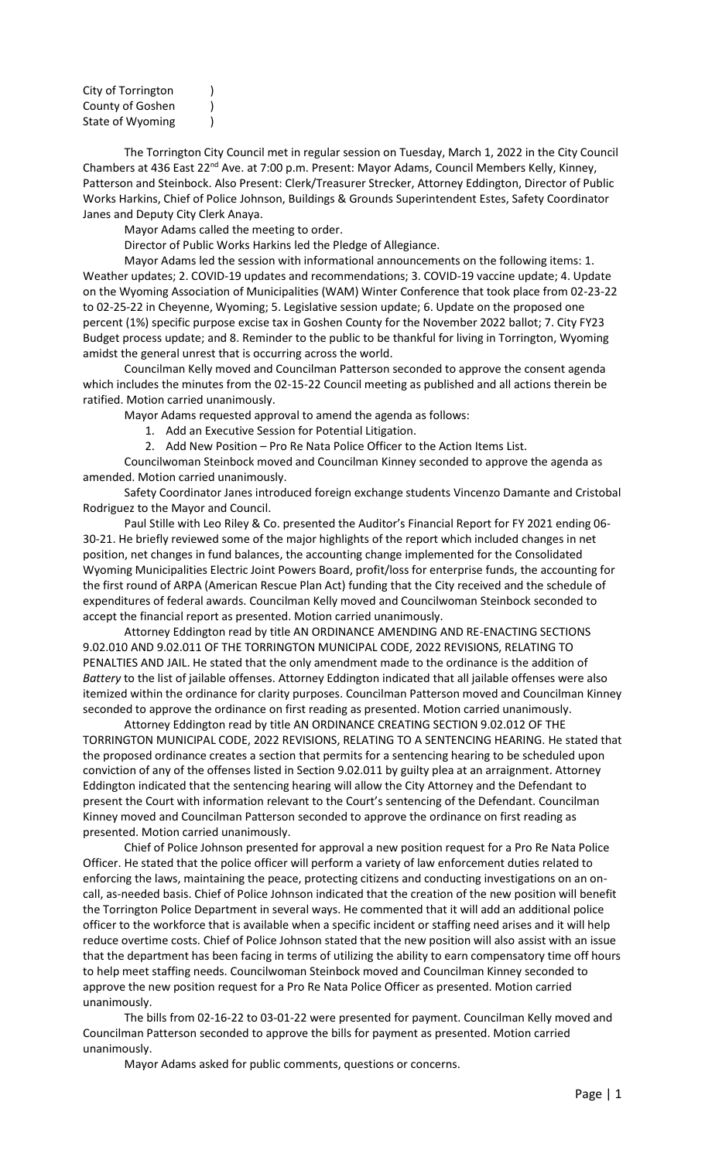| City of Torrington |  |
|--------------------|--|
| County of Goshen   |  |
| State of Wyoming   |  |

The Torrington City Council met in regular session on Tuesday, March 1, 2022 in the City Council Chambers at 436 East 22<sup>nd</sup> Ave. at 7:00 p.m. Present: Mayor Adams, Council Members Kelly, Kinney, Patterson and Steinbock. Also Present: Clerk/Treasurer Strecker, Attorney Eddington, Director of Public Works Harkins, Chief of Police Johnson, Buildings & Grounds Superintendent Estes, Safety Coordinator Janes and Deputy City Clerk Anaya.

Mayor Adams called the meeting to order.

Director of Public Works Harkins led the Pledge of Allegiance.

Mayor Adams led the session with informational announcements on the following items: 1. Weather updates; 2. COVID-19 updates and recommendations; 3. COVID-19 vaccine update; 4. Update on the Wyoming Association of Municipalities (WAM) Winter Conference that took place from 02-23-22 to 02-25-22 in Cheyenne, Wyoming; 5. Legislative session update; 6. Update on the proposed one percent (1%) specific purpose excise tax in Goshen County for the November 2022 ballot; 7. City FY23 Budget process update; and 8. Reminder to the public to be thankful for living in Torrington, Wyoming amidst the general unrest that is occurring across the world.

Councilman Kelly moved and Councilman Patterson seconded to approve the consent agenda which includes the minutes from the 02-15-22 Council meeting as published and all actions therein be ratified. Motion carried unanimously.

Mayor Adams requested approval to amend the agenda as follows:

- 1. Add an Executive Session for Potential Litigation.
- 2. Add New Position Pro Re Nata Police Officer to the Action Items List.

Councilwoman Steinbock moved and Councilman Kinney seconded to approve the agenda as amended. Motion carried unanimously.

Safety Coordinator Janes introduced foreign exchange students Vincenzo Damante and Cristobal Rodriguez to the Mayor and Council.

Paul Stille with Leo Riley & Co. presented the Auditor's Financial Report for FY 2021 ending 06- 30-21. He briefly reviewed some of the major highlights of the report which included changes in net position, net changes in fund balances, the accounting change implemented for the Consolidated Wyoming Municipalities Electric Joint Powers Board, profit/loss for enterprise funds, the accounting for the first round of ARPA (American Rescue Plan Act) funding that the City received and the schedule of expenditures of federal awards. Councilman Kelly moved and Councilwoman Steinbock seconded to accept the financial report as presented. Motion carried unanimously.

Attorney Eddington read by title AN ORDINANCE AMENDING AND RE-ENACTING SECTIONS 9.02.010 AND 9.02.011 OF THE TORRINGTON MUNICIPAL CODE, 2022 REVISIONS, RELATING TO PENALTIES AND JAIL. He stated that the only amendment made to the ordinance is the addition of *Battery* to the list of jailable offenses. Attorney Eddington indicated that all jailable offenses were also itemized within the ordinance for clarity purposes. Councilman Patterson moved and Councilman Kinney seconded to approve the ordinance on first reading as presented. Motion carried unanimously.

Attorney Eddington read by title AN ORDINANCE CREATING SECTION 9.02.012 OF THE TORRINGTON MUNICIPAL CODE, 2022 REVISIONS, RELATING TO A SENTENCING HEARING. He stated that the proposed ordinance creates a section that permits for a sentencing hearing to be scheduled upon conviction of any of the offenses listed in Section 9.02.011 by guilty plea at an arraignment. Attorney Eddington indicated that the sentencing hearing will allow the City Attorney and the Defendant to present the Court with information relevant to the Court's sentencing of the Defendant. Councilman Kinney moved and Councilman Patterson seconded to approve the ordinance on first reading as presented. Motion carried unanimously.

Chief of Police Johnson presented for approval a new position request for a Pro Re Nata Police Officer. He stated that the police officer will perform a variety of law enforcement duties related to enforcing the laws, maintaining the peace, protecting citizens and conducting investigations on an oncall, as-needed basis. Chief of Police Johnson indicated that the creation of the new position will benefit the Torrington Police Department in several ways. He commented that it will add an additional police officer to the workforce that is available when a specific incident or staffing need arises and it will help reduce overtime costs. Chief of Police Johnson stated that the new position will also assist with an issue that the department has been facing in terms of utilizing the ability to earn compensatory time off hours to help meet staffing needs. Councilwoman Steinbock moved and Councilman Kinney seconded to approve the new position request for a Pro Re Nata Police Officer as presented. Motion carried unanimously.

The bills from 02-16-22 to 03-01-22 were presented for payment. Councilman Kelly moved and Councilman Patterson seconded to approve the bills for payment as presented. Motion carried unanimously.

Mayor Adams asked for public comments, questions or concerns.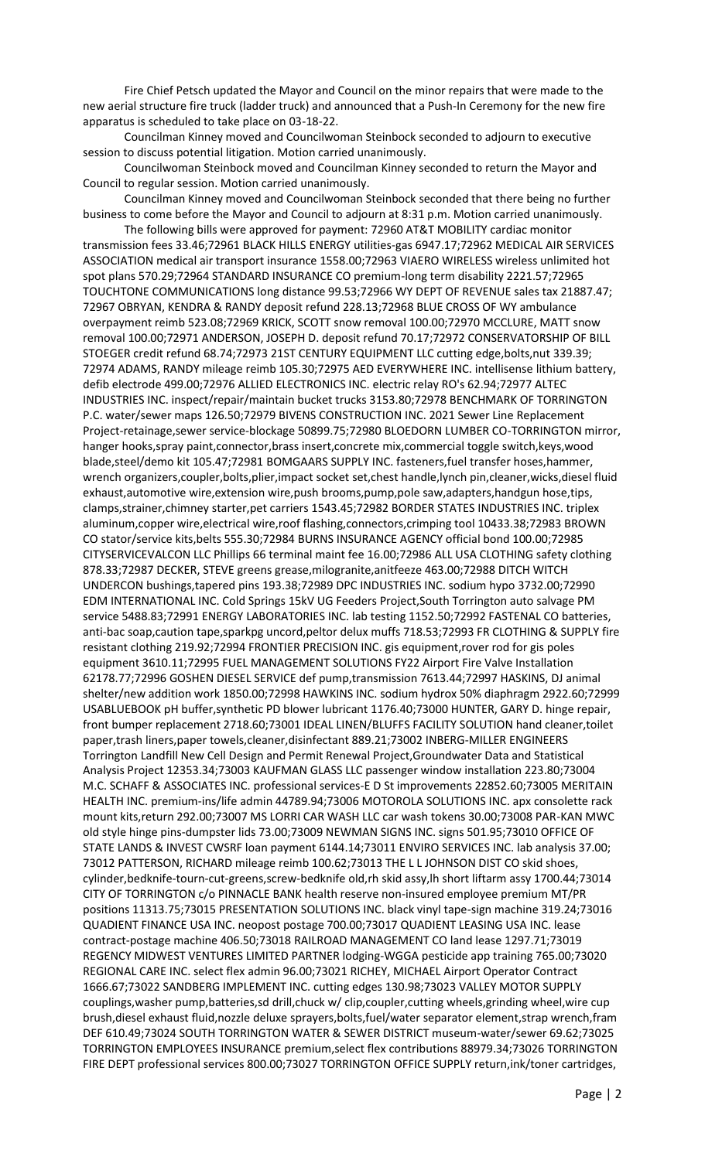Fire Chief Petsch updated the Mayor and Council on the minor repairs that were made to the new aerial structure fire truck (ladder truck) and announced that a Push-In Ceremony for the new fire apparatus is scheduled to take place on 03-18-22.

Councilman Kinney moved and Councilwoman Steinbock seconded to adjourn to executive session to discuss potential litigation. Motion carried unanimously.

Councilwoman Steinbock moved and Councilman Kinney seconded to return the Mayor and Council to regular session. Motion carried unanimously.

Councilman Kinney moved and Councilwoman Steinbock seconded that there being no further business to come before the Mayor and Council to adjourn at 8:31 p.m. Motion carried unanimously.

The following bills were approved for payment: 72960 AT&T MOBILITY cardiac monitor transmission fees 33.46;72961 BLACK HILLS ENERGY utilities-gas 6947.17;72962 MEDICAL AIR SERVICES ASSOCIATION medical air transport insurance 1558.00;72963 VIAERO WIRELESS wireless unlimited hot spot plans 570.29;72964 STANDARD INSURANCE CO premium-long term disability 2221.57;72965 TOUCHTONE COMMUNICATIONS long distance 99.53;72966 WY DEPT OF REVENUE sales tax 21887.47; 72967 OBRYAN, KENDRA & RANDY deposit refund 228.13;72968 BLUE CROSS OF WY ambulance overpayment reimb 523.08;72969 KRICK, SCOTT snow removal 100.00;72970 MCCLURE, MATT snow removal 100.00;72971 ANDERSON, JOSEPH D. deposit refund 70.17;72972 CONSERVATORSHIP OF BILL STOEGER credit refund 68.74;72973 21ST CENTURY EQUIPMENT LLC cutting edge,bolts,nut 339.39; 72974 ADAMS, RANDY mileage reimb 105.30;72975 AED EVERYWHERE INC. intellisense lithium battery, defib electrode 499.00;72976 ALLIED ELECTRONICS INC. electric relay RO's 62.94;72977 ALTEC INDUSTRIES INC. inspect/repair/maintain bucket trucks 3153.80;72978 BENCHMARK OF TORRINGTON P.C. water/sewer maps 126.50;72979 BIVENS CONSTRUCTION INC. 2021 Sewer Line Replacement Project-retainage,sewer service-blockage 50899.75;72980 BLOEDORN LUMBER CO-TORRINGTON mirror, hanger hooks,spray paint,connector,brass insert,concrete mix,commercial toggle switch,keys,wood blade,steel/demo kit 105.47;72981 BOMGAARS SUPPLY INC. fasteners,fuel transfer hoses,hammer, wrench organizers,coupler,bolts,plier,impact socket set,chest handle,lynch pin,cleaner,wicks,diesel fluid exhaust,automotive wire,extension wire,push brooms,pump,pole saw,adapters,handgun hose,tips, clamps,strainer,chimney starter,pet carriers 1543.45;72982 BORDER STATES INDUSTRIES INC. triplex aluminum,copper wire,electrical wire,roof flashing,connectors,crimping tool 10433.38;72983 BROWN CO stator/service kits,belts 555.30;72984 BURNS INSURANCE AGENCY official bond 100.00;72985 CITYSERVICEVALCON LLC Phillips 66 terminal maint fee 16.00;72986 ALL USA CLOTHING safety clothing 878.33;72987 DECKER, STEVE greens grease,milogranite,anitfeeze 463.00;72988 DITCH WITCH UNDERCON bushings,tapered pins 193.38;72989 DPC INDUSTRIES INC. sodium hypo 3732.00;72990 EDM INTERNATIONAL INC. Cold Springs 15kV UG Feeders Project,South Torrington auto salvage PM service 5488.83;72991 ENERGY LABORATORIES INC. lab testing 1152.50;72992 FASTENAL CO batteries, anti-bac soap,caution tape,sparkpg uncord,peltor delux muffs 718.53;72993 FR CLOTHING & SUPPLY fire resistant clothing 219.92;72994 FRONTIER PRECISION INC. gis equipment,rover rod for gis poles equipment 3610.11;72995 FUEL MANAGEMENT SOLUTIONS FY22 Airport Fire Valve Installation 62178.77;72996 GOSHEN DIESEL SERVICE def pump,transmission 7613.44;72997 HASKINS, DJ animal shelter/new addition work 1850.00;72998 HAWKINS INC. sodium hydrox 50% diaphragm 2922.60;72999 USABLUEBOOK pH buffer,synthetic PD blower lubricant 1176.40;73000 HUNTER, GARY D. hinge repair, front bumper replacement 2718.60;73001 IDEAL LINEN/BLUFFS FACILITY SOLUTION hand cleaner,toilet paper,trash liners,paper towels,cleaner,disinfectant 889.21;73002 INBERG-MILLER ENGINEERS Torrington Landfill New Cell Design and Permit Renewal Project,Groundwater Data and Statistical Analysis Project 12353.34;73003 KAUFMAN GLASS LLC passenger window installation 223.80;73004 M.C. SCHAFF & ASSOCIATES INC. professional services-E D St improvements 22852.60;73005 MERITAIN HEALTH INC. premium-ins/life admin 44789.94;73006 MOTOROLA SOLUTIONS INC. apx consolette rack mount kits,return 292.00;73007 MS LORRI CAR WASH LLC car wash tokens 30.00;73008 PAR-KAN MWC old style hinge pins-dumpster lids 73.00;73009 NEWMAN SIGNS INC. signs 501.95;73010 OFFICE OF STATE LANDS & INVEST CWSRF loan payment 6144.14;73011 ENVIRO SERVICES INC. lab analysis 37.00; 73012 PATTERSON, RICHARD mileage reimb 100.62;73013 THE L L JOHNSON DIST CO skid shoes, cylinder,bedknife-tourn-cut-greens,screw-bedknife old,rh skid assy,lh short liftarm assy 1700.44;73014 CITY OF TORRINGTON c/o PINNACLE BANK health reserve non-insured employee premium MT/PR positions 11313.75;73015 PRESENTATION SOLUTIONS INC. black vinyl tape-sign machine 319.24;73016 QUADIENT FINANCE USA INC. neopost postage 700.00;73017 QUADIENT LEASING USA INC. lease contract-postage machine 406.50;73018 RAILROAD MANAGEMENT CO land lease 1297.71;73019 REGENCY MIDWEST VENTURES LIMITED PARTNER lodging-WGGA pesticide app training 765.00;73020 REGIONAL CARE INC. select flex admin 96.00;73021 RICHEY, MICHAEL Airport Operator Contract 1666.67;73022 SANDBERG IMPLEMENT INC. cutting edges 130.98;73023 VALLEY MOTOR SUPPLY couplings,washer pump,batteries,sd drill,chuck w/ clip,coupler,cutting wheels,grinding wheel,wire cup brush,diesel exhaust fluid,nozzle deluxe sprayers,bolts,fuel/water separator element,strap wrench,fram DEF 610.49;73024 SOUTH TORRINGTON WATER & SEWER DISTRICT museum-water/sewer 69.62;73025 TORRINGTON EMPLOYEES INSURANCE premium,select flex contributions 88979.34;73026 TORRINGTON FIRE DEPT professional services 800.00;73027 TORRINGTON OFFICE SUPPLY return,ink/toner cartridges,